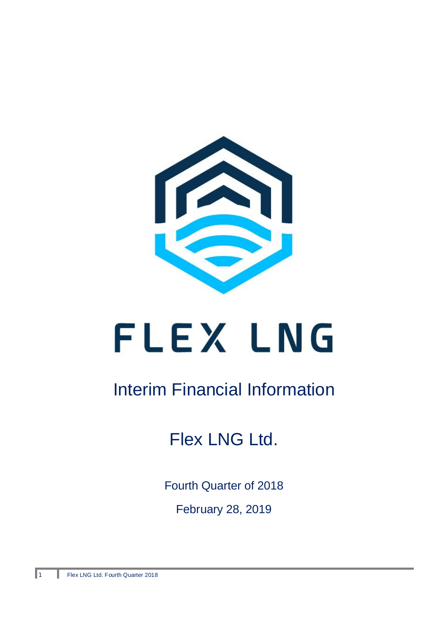

# FLEX LNG

# Interim Financial Information

# Flex LNG Ltd.

Fourth Quarter of 2018 February 28, 2019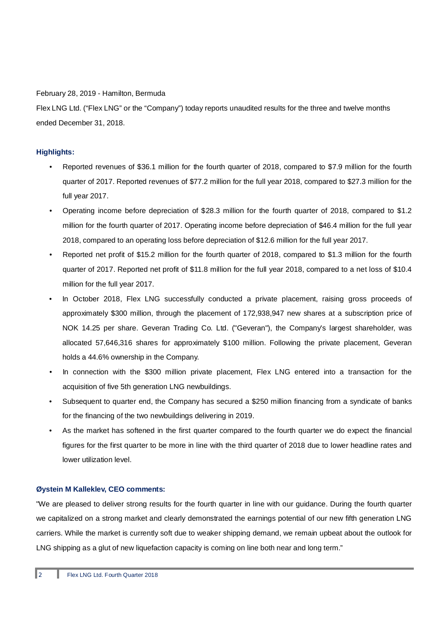February 28, 2019 - Hamilton, Bermuda

Flex LNG Ltd. ("Flex LNG" or the "Company") today reports unaudited results for the three and twelve months ended December 31, 2018.

# **Highlights:**

- Reported revenues of \$36.1 million for the fourth quarter of 2018, compared to \$7.9 million for the fourth quarter of 2017. Reported revenues of \$77.2 million for the full year 2018, compared to \$27.3 million for the full year 2017.
- Operating income before depreciation of \$28.3 million for the fourth quarter of 2018, compared to \$1.2 million for the fourth quarter of 2017. Operating income before depreciation of \$46.4 million for the full year 2018, compared to an operating loss before depreciation of \$12.6 million for the full year 2017.
- Reported net profit of \$15.2 million for the fourth quarter of 2018, compared to \$1.3 million for the fourth quarter of 2017. Reported net profit of \$11.8 million for the full year 2018, compared to a net loss of \$10.4 million for the full year 2017.
- In October 2018, Flex LNG successfully conducted a private placement, raising gross proceeds of approximately \$300 million, through the placement of 172,938,947 new shares at a subscription price of NOK 14.25 per share. Geveran Trading Co. Ltd. ("Geveran"), the Company's largest shareholder, was allocated 57,646,316 shares for approximately \$100 million. Following the private placement, Geveran holds a 44.6% ownership in the Company.
- In connection with the \$300 million private placement, Flex LNG entered into a transaction for the acquisition of five 5th generation LNG newbuildings.
- Subsequent to quarter end, the Company has secured a \$250 million financing from a syndicate of banks for the financing of the two newbuildings delivering in 2019.
- As the market has softened in the first quarter compared to the fourth quarter we do expect the financial figures for the first quarter to be more in line with the third quarter of 2018 due to lower headline rates and lower utilization level.

## **Øystein M Kalleklev, CEO comments:**

"We are pleased to deliver strong results for the fourth quarter in line with our guidance. During the fourth quarter we capitalized on a strong market and clearly demonstrated the earnings potential of our new fifth generation LNG carriers. While the market is currently soft due to weaker shipping demand, we remain upbeat about the outlook for LNG shipping as a glut of new liquefaction capacity is coming on line both near and long term."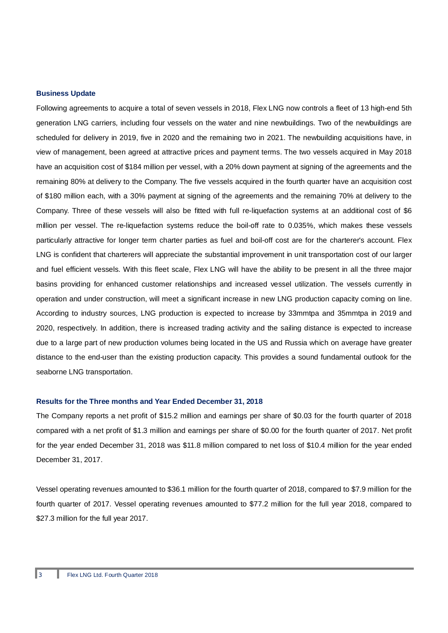#### **Business Update**

Following agreements to acquire a total of seven vessels in 2018, Flex LNG now controls a fleet of 13 high-end 5th generation LNG carriers, including four vessels on the water and nine newbuildings. Two of the newbuildings are scheduled for delivery in 2019, five in 2020 and the remaining two in 2021. The newbuilding acquisitions have, in view of management, been agreed at attractive prices and payment terms. The two vessels acquired in May 2018 have an acquisition cost of \$184 million per vessel, with a 20% down payment at signing of the agreements and the remaining 80% at delivery to the Company. The five vessels acquired in the fourth quarter have an acquisition cost of \$180 million each, with a 30% payment at signing of the agreements and the remaining 70% at delivery to the Company. Three of these vessels will also be fitted with full re-liquefaction systems at an additional cost of \$6 million per vessel. The re-liquefaction systems reduce the boil-off rate to 0.035%, which makes these vessels particularly attractive for longer term charter parties as fuel and boil-off cost are for the charterer's account. Flex LNG is confident that charterers will appreciate the substantial improvement in unit transportation cost of our larger and fuel efficient vessels. With this fleet scale, Flex LNG will have the ability to be present in all the three major basins providing for enhanced customer relationships and increased vessel utilization. The vessels currently in operation and under construction, will meet a significant increase in new LNG production capacity coming on line. According to industry sources, LNG production is expected to increase by 33mmtpa and 35mmtpa in 2019 and 2020, respectively. In addition, there is increased trading activity and the sailing distance is expected to increase due to a large part of new production volumes being located in the US and Russia which on average have greater distance to the end-user than the existing production capacity. This provides a sound fundamental outlook for the seaborne LNG transportation.

#### **Results for the Three months and Year Ended December 31, 2018**

The Company reports a net profit of \$15.2 million and earnings per share of \$0.03 for the fourth quarter of 2018 compared with a net profit of \$1.3 million and earnings per share of \$0.00 for the fourth quarter of 2017. Net profit for the year ended December 31, 2018 was \$11.8 million compared to net loss of \$10.4 million for the year ended December 31, 2017.

Vessel operating revenues amounted to \$36.1 million for the fourth quarter of 2018, compared to \$7.9 million for the fourth quarter of 2017. Vessel operating revenues amounted to \$77.2 million for the full year 2018, compared to \$27.3 million for the full year 2017.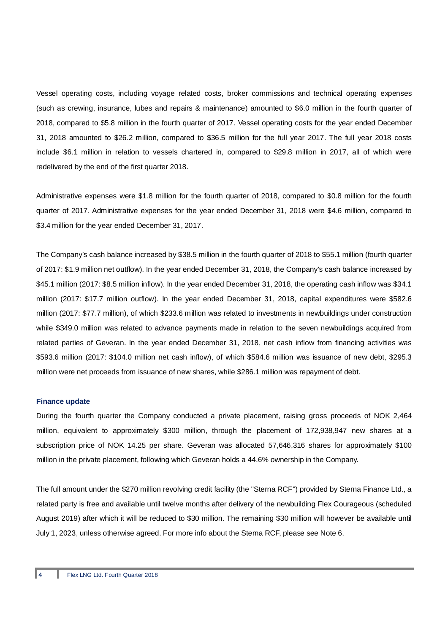Vessel operating costs, including voyage related costs, broker commissions and technical operating expenses (such as crewing, insurance, lubes and repairs & maintenance) amounted to \$6.0 million in the fourth quarter of 2018, compared to \$5.8 million in the fourth quarter of 2017. Vessel operating costs for the year ended December 31, 2018 amounted to \$26.2 million, compared to \$36.5 million for the full year 2017. The full year 2018 costs include \$6.1 million in relation to vessels chartered in, compared to \$29.8 million in 2017, all of which were redelivered by the end of the first quarter 2018.

Administrative expenses were \$1.8 million for the fourth quarter of 2018, compared to \$0.8 million for the fourth quarter of 2017. Administrative expenses for the year ended December 31, 2018 were \$4.6 million, compared to \$3.4 million for the year ended December 31, 2017.

The Company's cash balance increased by \$38.5 million in the fourth quarter of 2018 to \$55.1 million (fourth quarter of 2017: \$1.9 million net outflow). In the year ended December 31, 2018, the Company's cash balance increased by \$45.1 million (2017: \$8.5 million inflow). In the year ended December 31, 2018, the operating cash inflow was \$34.1 million (2017: \$17.7 million outflow). In the year ended December 31, 2018, capital expenditures were \$582.6 million (2017: \$77.7 million), of which \$233.6 million was related to investments in newbuildings under construction while \$349.0 million was related to advance payments made in relation to the seven newbuildings acquired from related parties of Geveran. In the year ended December 31, 2018, net cash inflow from financing activities was \$593.6 million (2017: \$104.0 million net cash inflow), of which \$584.6 million was issuance of new debt, \$295.3 million were net proceeds from issuance of new shares, while \$286.1 million was repayment of debt.

#### **Finance update**

During the fourth quarter the Company conducted a private placement, raising gross proceeds of NOK 2,464 million, equivalent to approximately \$300 million, through the placement of 172,938,947 new shares at a subscription price of NOK 14.25 per share. Geveran was allocated 57,646,316 shares for approximately \$100 million in the private placement, following which Geveran holds a 44.6% ownership in the Company.

The full amount under the \$270 million revolving credit facility (the "Sterna RCF") provided by Sterna Finance Ltd., a related party is free and available until twelve months after delivery of the newbuilding Flex Courageous (scheduled August 2019) after which it will be reduced to \$30 million. The remaining \$30 million will however be available until July 1, 2023, unless otherwise agreed. For more info about the Sterna RCF, please see Note 6.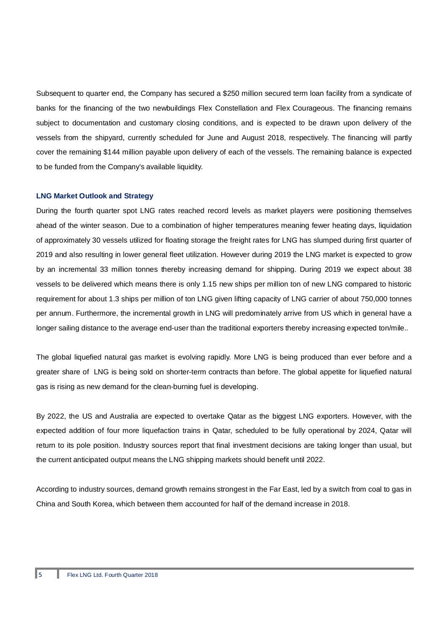Subsequent to quarter end, the Company has secured a \$250 million secured term loan facility from a syndicate of banks for the financing of the two newbuildings Flex Constellation and Flex Courageous. The financing remains subject to documentation and customary closing conditions, and is expected to be drawn upon delivery of the vessels from the shipyard, currently scheduled for June and August 2018, respectively. The financing will partly cover the remaining \$144 million payable upon delivery of each of the vessels. The remaining balance is expected to be funded from the Company's available liquidity.

#### **LNG Market Outlook and Strategy**

During the fourth quarter spot LNG rates reached record levels as market players were positioning themselves ahead of the winter season. Due to a combination of higher temperatures meaning fewer heating days, liquidation of approximately 30 vessels utilized for floating storage the freight rates for LNG has slumped during first quarter of 2019 and also resulting in lower general fleet utilization. However during 2019 the LNG market is expected to grow by an incremental 33 million tonnes thereby increasing demand for shipping. During 2019 we expect about 38 vessels to be delivered which means there is only 1.15 new ships per million ton of new LNG compared to historic requirement for about 1.3 ships per million of ton LNG given lifting capacity of LNG carrier of about 750,000 tonnes per annum. Furthermore, the incremental growth in LNG will predominately arrive from US which in general have a longer sailing distance to the average end-user than the traditional exporters thereby increasing expected ton/mile..

The global liquefied natural gas market is evolving rapidly. More LNG is being produced than ever before and a greater share of LNG is being sold on shorter-term contracts than before. The global appetite for liquefied natural gas is rising as new demand for the clean-burning fuel is developing.

By 2022, the US and Australia are expected to overtake Qatar as the biggest LNG exporters. However, with the expected addition of four more liquefaction trains in Qatar, scheduled to be fully operational by 2024, Qatar will return to its pole position. Industry sources report that final investment decisions are taking longer than usual, but the current anticipated output means the LNG shipping markets should benefit until 2022.

According to industry sources, demand growth remains strongest in the Far East, led by a switch from coal to gas in China and South Korea, which between them accounted for half of the demand increase in 2018.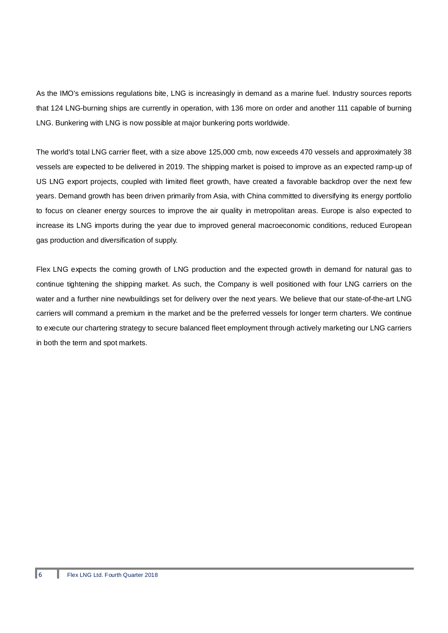As the IMO's emissions regulations bite, LNG is increasingly in demand as a marine fuel. Industry sources reports that 124 LNG-burning ships are currently in operation, with 136 more on order and another 111 capable of burning LNG. Bunkering with LNG is now possible at major bunkering ports worldwide.

The world's total LNG carrier fleet, with a size above 125,000 cmb, now exceeds 470 vessels and approximately 38 vessels are expected to be delivered in 2019. The shipping market is poised to improve as an expected ramp-up of US LNG export projects, coupled with limited fleet growth, have created a favorable backdrop over the next few years. Demand growth has been driven primarily from Asia, with China committed to diversifying its energy portfolio to focus on cleaner energy sources to improve the air quality in metropolitan areas. Europe is also expected to increase its LNG imports during the year due to improved general macroeconomic conditions, reduced European gas production and diversification of supply.

Flex LNG expects the coming growth of LNG production and the expected growth in demand for natural gas to continue tightening the shipping market. As such, the Company is well positioned with four LNG carriers on the water and a further nine newbuildings set for delivery over the next years. We believe that our state-of-the-art LNG carriers will command a premium in the market and be the preferred vessels for longer term charters. We continue to execute our chartering strategy to secure balanced fleet employment through actively marketing our LNG carriers in both the term and spot markets.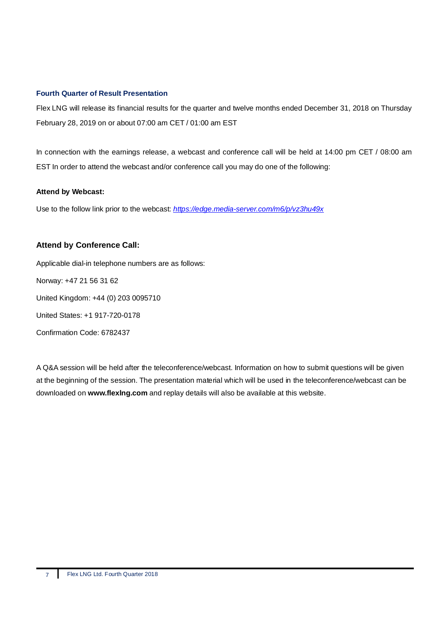#### **Fourth Quarter of Result Presentation**

Flex LNG will release its financial results for the quarter and twelve months ended December 31, 2018 on Thursday February 28, 2019 on or about 07:00 am CET / 01:00 am EST

In connection with the earnings release, a webcast and conference call will be held at 14:00 pm CET / 08:00 am EST In order to attend the webcast and/or conference call you may do one of the following:

#### **Attend by Webcast:**

Use to the follow link prior to the webcast: *https://edge.media-server.com/m6/p/vz3hu49x*

# **Attend by Conference Call:**

Applicable dial-in telephone numbers are as follows:

Norway: +47 21 56 31 62

United Kingdom: +44 (0) 203 0095710

United States: +1 917-720-0178

Confirmation Code: 6782437

A Q&A session will be held after the teleconference/webcast. Information on how to submit questions will be given at the beginning of the session. The presentation material which will be used in the teleconference/webcast can be downloaded on **www.flexlng.com** and replay details will also be available at this website.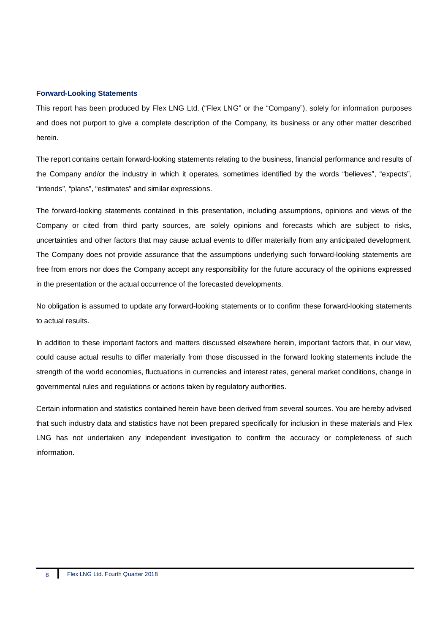#### **Forward-Looking Statements**

This report has been produced by Flex LNG Ltd. ("Flex LNG" or the "Company"), solely for information purposes and does not purport to give a complete description of the Company, its business or any other matter described herein.

The report contains certain forward-looking statements relating to the business, financial performance and results of the Company and/or the industry in which it operates, sometimes identified by the words "believes", "expects", "intends", "plans", "estimates" and similar expressions.

The forward-looking statements contained in this presentation, including assumptions, opinions and views of the Company or cited from third party sources, are solely opinions and forecasts which are subject to risks, uncertainties and other factors that may cause actual events to differ materially from any anticipated development. The Company does not provide assurance that the assumptions underlying such forward-looking statements are free from errors nor does the Company accept any responsibility for the future accuracy of the opinions expressed in the presentation or the actual occurrence of the forecasted developments.

No obligation is assumed to update any forward-looking statements or to confirm these forward-looking statements to actual results.

In addition to these important factors and matters discussed elsewhere herein, important factors that, in our view, could cause actual results to differ materially from those discussed in the forward looking statements include the strength of the world economies, fluctuations in currencies and interest rates, general market conditions, change in governmental rules and regulations or actions taken by regulatory authorities.

Certain information and statistics contained herein have been derived from several sources. You are hereby advised that such industry data and statistics have not been prepared specifically for inclusion in these materials and Flex LNG has not undertaken any independent investigation to confirm the accuracy or completeness of such information.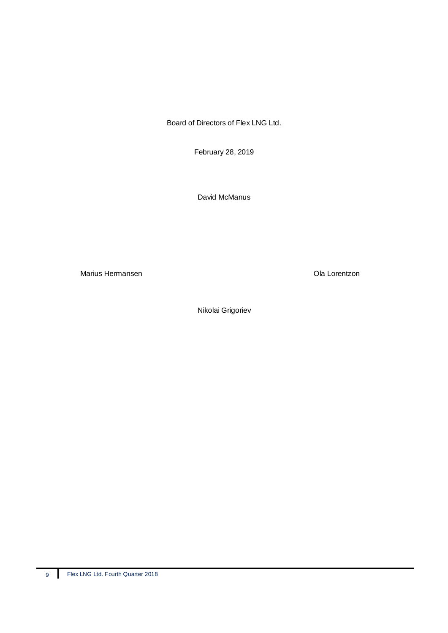Board of Directors of Flex LNG Ltd.

February 28, 2019

David McManus

Marius Hermansen **Marius Hermansen** Cla Lorentzon

Nikolai Grigoriev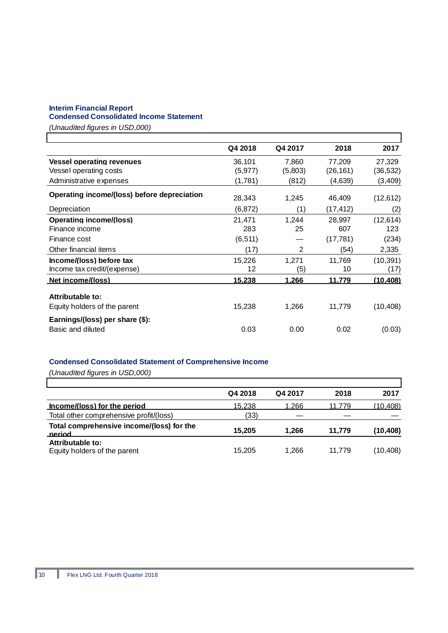# **Interim Financial Report**

# **Condensed Consolidated Income Statement**

*(Unaudited figures in USD,000)*

|                                             | Q4 2018  | Q4 2017 | 2018      | 2017      |
|---------------------------------------------|----------|---------|-----------|-----------|
| <b>Vessel operating revenues</b>            | 36.101   | 7.860   | 77.209    | 27.329    |
| Vessel operating costs                      | (5, 977) | (5,803) | (26, 161) | (36,532)  |
| Administrative expenses                     | (1,781)  | (812)   | (4,639)   | (3,409)   |
| Operating income/(loss) before depreciation | 28,343   | 1,245   | 46,409    | (12, 612) |
| Depreciation                                | (6, 872) | (1)     | (17, 412) | (2)       |
| <b>Operating income/(loss)</b>              | 21,471   | 1.244   | 28.997    | (12,614)  |
| Finance income                              | 283      | 25      | 607       | 123       |
| Finance cost                                | (6, 511) |         | (17, 781) | (234)     |
| Other financial items                       | (17)     | 2       | (54)      | 2,335     |
| Income/(loss) before tax                    | 15.226   | 1.271   | 11.769    | (10, 391) |
| Income tax credit/(expense)                 | 12       | (5)     | 10        | (17)      |
| Net income/(loss)                           | 15,238   | 1,266   | 11,779    | (10,408)  |
| Attributable to:                            |          |         |           |           |
| Equity holders of the parent                | 15,238   | 1,266   | 11,779    | (10, 408) |
| Earnings/(loss) per share (\$):             |          |         |           |           |
| Basic and diluted                           | 0.03     | 0.00    | 0.02      | (0.03)    |

# **Condensed Consolidated Statement of Comprehensive Income**

|                                                     | Q4 2018 | Q4 2017 | 2018   | 2017      |
|-----------------------------------------------------|---------|---------|--------|-----------|
| Income/(loss) for the period                        | 15,238  | 1,266   | 11.779 | (10, 408) |
| Total other comprehensive profit/(loss)             | (33)    |         |        |           |
| Total comprehensive income/(loss) for the<br>neriod | 15.205  | 1.266   | 11.779 | (10, 408) |
| Attributable to:<br>Equity holders of the parent    | 15,205  | 1.266   | 11.779 | (10, 408) |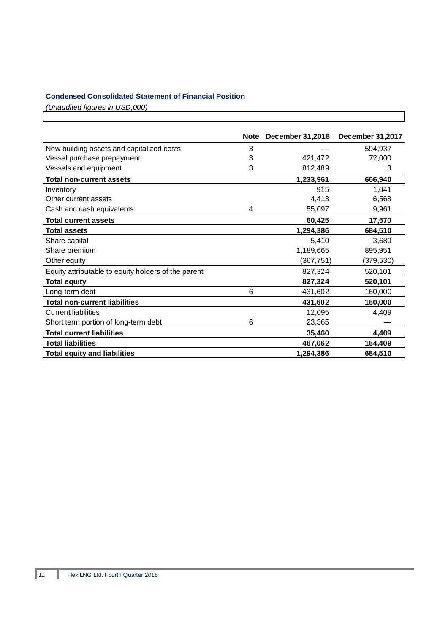# **Condensed Consolidated Statement of Financial Position**

|                                                     | <b>Note</b> | December 31,2018 | December 31,2017 |
|-----------------------------------------------------|-------------|------------------|------------------|
| New building assets and capitalized costs           | 3           |                  | 594,937          |
| Vessel purchase prepayment                          | 3           | 421,472          | 72,000           |
| Vessels and equipment                               | 3           | 812,489          | 3                |
| <b>Total non-current assets</b>                     |             | 1,233,961        | 666,940          |
| Inventory                                           |             | 915              | 1,041            |
| Other current assets                                |             | 4,413            | 6,568            |
| Cash and cash equivalents                           | 4           | 55,097           | 9,961            |
| <b>Total current assets</b>                         |             | 60,425           | 17,570           |
| <b>Total assets</b>                                 |             | 1,294,386        | 684,510          |
| Share capital                                       |             | 5,410            | 3,680            |
| Share premium                                       |             | 1,189,665        | 895,951          |
| Other equity                                        |             | (367, 751)       | (379,530)        |
| Equity attributable to equity holders of the parent |             | 827,324          | 520,101          |
| <b>Total equity</b>                                 |             | 827,324          | 520,101          |
| Long-term debt                                      | 6           | 431,602          | 160,000          |
| <b>Total non-current liabilities</b>                |             | 431,602          | 160,000          |
| <b>Current liabilities</b>                          |             | 12,095           | 4,409            |
| Short term portion of long-term debt                | 6           | 23,365           |                  |
| <b>Total current liabilities</b>                    |             | 35,460           | 4,409            |
| <b>Total liabilities</b>                            |             | 467,062          | 164,409          |
| <b>Total equity and liabilities</b>                 |             | 1,294,386        | 684,510          |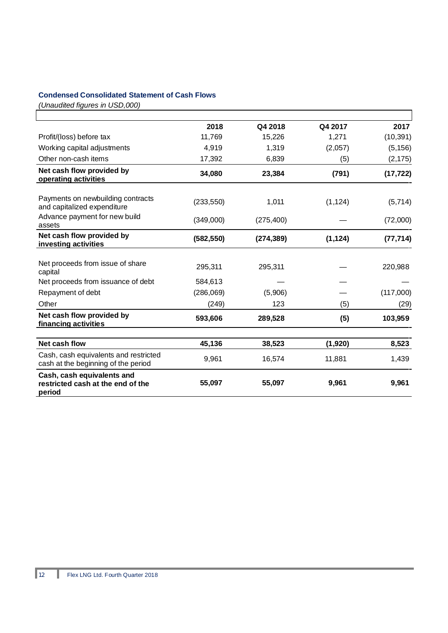# **Condensed Consolidated Statement of Cash Flows**

|                                                                              | 2018       | Q4 2018    | Q4 2017  | 2017      |
|------------------------------------------------------------------------------|------------|------------|----------|-----------|
| Profit/(loss) before tax                                                     | 11,769     | 15,226     | 1,271    | (10, 391) |
| Working capital adjustments                                                  | 4,919      | 1,319      | (2,057)  | (5, 156)  |
| Other non-cash items                                                         | 17,392     | 6,839      | (5)      | (2, 175)  |
| Net cash flow provided by<br>operating activities                            | 34,080     | 23,384     | (791)    | (17, 722) |
|                                                                              |            |            |          |           |
| Payments on newbuilding contracts<br>and capitalized expenditure             | (233, 550) | 1,011      | (1, 124) | (5,714)   |
| Advance payment for new build<br>assets                                      | (349,000)  | (275, 400) |          | (72,000)  |
| Net cash flow provided by<br>investing activities                            | (582, 550) | (274, 389) | (1, 124) | (77, 714) |
|                                                                              |            |            |          |           |
| Net proceeds from issue of share<br>capital                                  | 295,311    | 295,311    |          | 220,988   |
| Net proceeds from issuance of debt                                           | 584,613    |            |          |           |
| Repayment of debt                                                            | (286,069)  | (5,906)    |          | (117,000) |
| Other                                                                        | (249)      | 123        | (5)      | (29)      |
| Net cash flow provided by<br>financing activities                            | 593,606    | 289,528    | (5)      | 103,959   |
|                                                                              |            |            |          |           |
| Net cash flow                                                                | 45,136     | 38,523     | (1,920)  | 8,523     |
| Cash, cash equivalents and restricted<br>cash at the beginning of the period | 9,961      | 16,574     | 11,881   | 1,439     |
| Cash, cash equivalents and<br>restricted cash at the end of the<br>period    | 55,097     | 55,097     | 9,961    | 9,961     |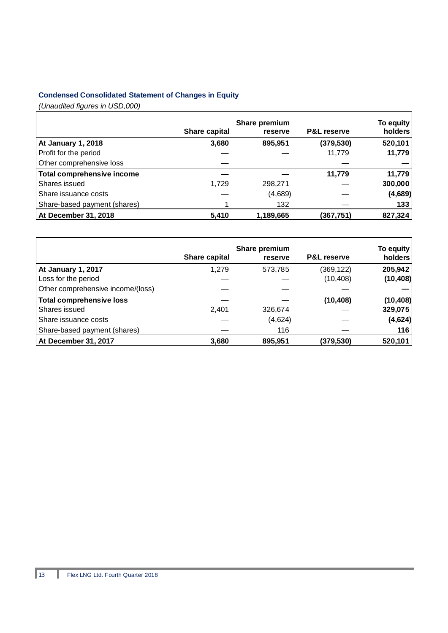# **Condensed Consolidated Statement of Changes in Equity**

|                                   | Share capital | Share premium<br>reserve | <b>P&amp;L reserve</b> | To equity<br>holders |
|-----------------------------------|---------------|--------------------------|------------------------|----------------------|
| <b>At January 1, 2018</b>         | 3,680         | 895,951                  | (379, 530)             | 520,101              |
| Profit for the period             |               |                          | 11,779                 | 11,779               |
| Other comprehensive loss          |               |                          |                        |                      |
| <b>Total comprehensive income</b> |               |                          | 11,779                 | 11,779               |
| Shares issued                     | 1.729         | 298,271                  |                        | 300,000              |
| Share issuance costs              |               | (4,689)                  |                        | (4,689)              |
| Share-based payment (shares)      |               | 132                      |                        | 133                  |
| At December 31, 2018              | 5,410         | 1,189,665                | (367, 751)             | 827,324              |

|                                   | Share capital | Share premium<br>reserve | <b>P&amp;L reserve</b> | To equity<br>holders |
|-----------------------------------|---------------|--------------------------|------------------------|----------------------|
| At January 1, 2017                | 1.279         | 573,785                  | (369, 122)             | 205,942              |
| Loss for the period               |               |                          | (10, 408)              | (10, 408)            |
| Other comprehensive income/(loss) |               |                          |                        |                      |
| <b>Total comprehensive loss</b>   |               |                          | (10, 408)              | (10, 408)            |
| Shares issued                     | 2,401         | 326,674                  |                        | 329,075              |
| Share issuance costs              |               | (4,624)                  |                        | (4,624)              |
| Share-based payment (shares)      |               | 116                      |                        | 116                  |
| At December 31, 2017              | 3,680         | 895,951                  | (379,530)              | 520,101              |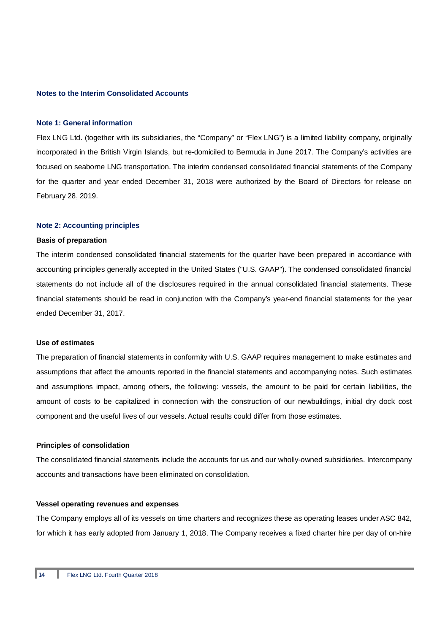#### **Notes to the Interim Consolidated Accounts**

#### **Note 1: General information**

Flex LNG Ltd. (together with its subsidiaries, the "Company" or "Flex LNG") is a limited liability company, originally incorporated in the British Virgin Islands, but re-domiciled to Bermuda in June 2017. The Company's activities are focused on seaborne LNG transportation. The interim condensed consolidated financial statements of the Company for the quarter and year ended December 31, 2018 were authorized by the Board of Directors for release on February 28, 2019.

#### **Note 2: Accounting principles**

#### **Basis of preparation**

The interim condensed consolidated financial statements for the quarter have been prepared in accordance with accounting principles generally accepted in the United States ("U.S. GAAP"). The condensed consolidated financial statements do not include all of the disclosures required in the annual consolidated financial statements. These financial statements should be read in conjunction with the Company's year-end financial statements for the year ended December 31, 2017.

#### **Use of estimates**

The preparation of financial statements in conformity with U.S. GAAP requires management to make estimates and assumptions that affect the amounts reported in the financial statements and accompanying notes. Such estimates and assumptions impact, among others, the following: vessels, the amount to be paid for certain liabilities, the amount of costs to be capitalized in connection with the construction of our newbuildings, initial dry dock cost component and the useful lives of our vessels. Actual results could differ from those estimates.

#### **Principles of consolidation**

The consolidated financial statements include the accounts for us and our wholly-owned subsidiaries. Intercompany accounts and transactions have been eliminated on consolidation.

#### **Vessel operating revenues and expenses**

The Company employs all of its vessels on time charters and recognizes these as operating leases under ASC 842, for which it has early adopted from January 1, 2018. The Company receives a fixed charter hire per day of on-hire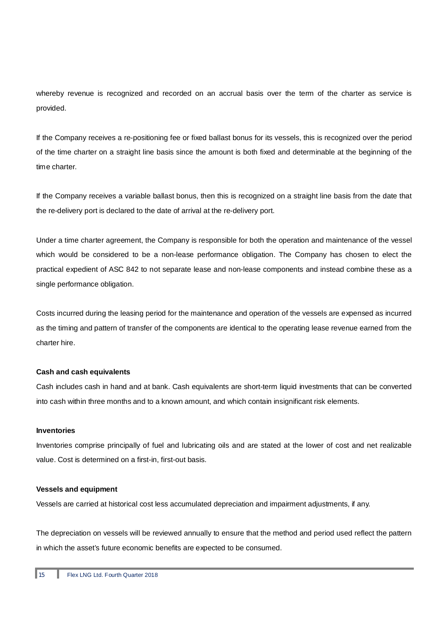whereby revenue is recognized and recorded on an accrual basis over the term of the charter as service is provided.

If the Company receives a re-positioning fee or fixed ballast bonus for its vessels, this is recognized over the period of the time charter on a straight line basis since the amount is both fixed and determinable at the beginning of the time charter.

If the Company receives a variable ballast bonus, then this is recognized on a straight line basis from the date that the re-delivery port is declared to the date of arrival at the re-delivery port.

Under a time charter agreement, the Company is responsible for both the operation and maintenance of the vessel which would be considered to be a non-lease performance obligation. The Company has chosen to elect the practical expedient of ASC 842 to not separate lease and non-lease components and instead combine these as a single performance obligation.

Costs incurred during the leasing period for the maintenance and operation of the vessels are expensed as incurred as the timing and pattern of transfer of the components are identical to the operating lease revenue earned from the charter hire.

#### **Cash and cash equivalents**

Cash includes cash in hand and at bank. Cash equivalents are short-term liquid investments that can be converted into cash within three months and to a known amount, and which contain insignificant risk elements.

#### **Inventories**

Inventories comprise principally of fuel and lubricating oils and are stated at the lower of cost and net realizable value. Cost is determined on a first-in, first-out basis.

#### **Vessels and equipment**

Vessels are carried at historical cost less accumulated depreciation and impairment adjustments, if any.

The depreciation on vessels will be reviewed annually to ensure that the method and period used reflect the pattern in which the asset's future economic benefits are expected to be consumed.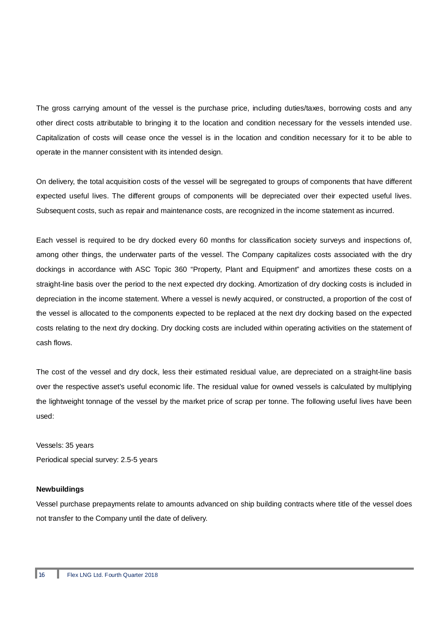The gross carrying amount of the vessel is the purchase price, including duties/taxes, borrowing costs and any other direct costs attributable to bringing it to the location and condition necessary for the vessels intended use. Capitalization of costs will cease once the vessel is in the location and condition necessary for it to be able to operate in the manner consistent with its intended design.

On delivery, the total acquisition costs of the vessel will be segregated to groups of components that have different expected useful lives. The different groups of components will be depreciated over their expected useful lives. Subsequent costs, such as repair and maintenance costs, are recognized in the income statement as incurred.

Each vessel is required to be dry docked every 60 months for classification society surveys and inspections of, among other things, the underwater parts of the vessel. The Company capitalizes costs associated with the dry dockings in accordance with ASC Topic 360 "Property, Plant and Equipment" and amortizes these costs on a straight-line basis over the period to the next expected dry docking. Amortization of dry docking costs is included in depreciation in the income statement. Where a vessel is newly acquired, or constructed, a proportion of the cost of the vessel is allocated to the components expected to be replaced at the next dry docking based on the expected costs relating to the next dry docking. Dry docking costs are included within operating activities on the statement of cash flows.

The cost of the vessel and dry dock, less their estimated residual value, are depreciated on a straight-line basis over the respective asset's useful economic life. The residual value for owned vessels is calculated by multiplying the lightweight tonnage of the vessel by the market price of scrap per tonne. The following useful lives have been used:

Vessels: 35 years Periodical special survey: 2.5-5 years

## **Newbuildings**

Vessel purchase prepayments relate to amounts advanced on ship building contracts where title of the vessel does not transfer to the Company until the date of delivery.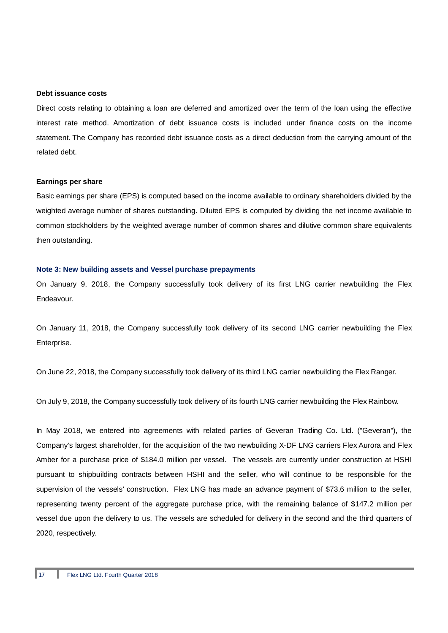#### **Debt issuance costs**

Direct costs relating to obtaining a loan are deferred and amortized over the term of the loan using the effective interest rate method. Amortization of debt issuance costs is included under finance costs on the income statement. The Company has recorded debt issuance costs as a direct deduction from the carrying amount of the related debt.

#### **Earnings per share**

Basic earnings per share (EPS) is computed based on the income available to ordinary shareholders divided by the weighted average number of shares outstanding. Diluted EPS is computed by dividing the net income available to common stockholders by the weighted average number of common shares and dilutive common share equivalents then outstanding.

#### **Note 3: New building assets and Vessel purchase prepayments**

On January 9, 2018, the Company successfully took delivery of its first LNG carrier newbuilding the Flex Endeavour.

On January 11, 2018, the Company successfully took delivery of its second LNG carrier newbuilding the Flex Enterprise.

On June 22, 2018, the Company successfully took delivery of its third LNG carrier newbuilding the Flex Ranger.

On July 9, 2018, the Company successfully took delivery of its fourth LNG carrier newbuilding the Flex Rainbow.

In May 2018, we entered into agreements with related parties of Geveran Trading Co. Ltd. ("Geveran"), the Company's largest shareholder, for the acquisition of the two newbuilding X-DF LNG carriers Flex Aurora and Flex Amber for a purchase price of \$184.0 million per vessel. The vessels are currently under construction at HSHI pursuant to shipbuilding contracts between HSHI and the seller, who will continue to be responsible for the supervision of the vessels' construction. Flex LNG has made an advance payment of \$73.6 million to the seller, representing twenty percent of the aggregate purchase price, with the remaining balance of \$147.2 million per vessel due upon the delivery to us. The vessels are scheduled for delivery in the second and the third quarters of 2020, respectively.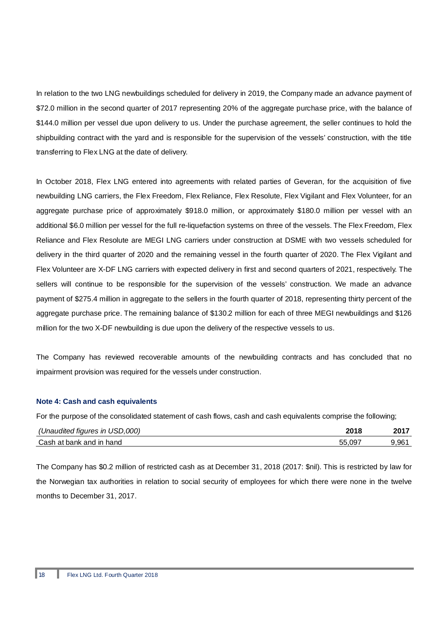In relation to the two LNG newbuildings scheduled for delivery in 2019, the Company made an advance payment of \$72.0 million in the second quarter of 2017 representing 20% of the aggregate purchase price, with the balance of \$144.0 million per vessel due upon delivery to us. Under the purchase agreement, the seller continues to hold the shipbuilding contract with the yard and is responsible for the supervision of the vessels' construction, with the title transferring to Flex LNG at the date of delivery.

In October 2018, Flex LNG entered into agreements with related parties of Geveran, for the acquisition of five newbuilding LNG carriers, the Flex Freedom, Flex Reliance, Flex Resolute, Flex Vigilant and Flex Volunteer, for an aggregate purchase price of approximately \$918.0 million, or approximately \$180.0 million per vessel with an additional \$6.0 million per vessel for the full re-liquefaction systems on three of the vessels. The Flex Freedom, Flex Reliance and Flex Resolute are MEGI LNG carriers under construction at DSME with two vessels scheduled for delivery in the third quarter of 2020 and the remaining vessel in the fourth quarter of 2020. The Flex Vigilant and Flex Volunteer are X-DF LNG carriers with expected delivery in first and second quarters of 2021, respectively. The sellers will continue to be responsible for the supervision of the vessels' construction. We made an advance payment of \$275.4 million in aggregate to the sellers in the fourth quarter of 2018, representing thirty percent of the aggregate purchase price. The remaining balance of \$130.2 million for each of three MEGI newbuildings and \$126 million for the two X-DF newbuilding is due upon the delivery of the respective vessels to us.

The Company has reviewed recoverable amounts of the newbuilding contracts and has concluded that no impairment provision was required for the vessels under construction.

#### **Note 4: Cash and cash equivalents**

For the purpose of the consolidated statement of cash flows, cash and cash equivalents comprise the following;

| (Unaudited figures in USD,000) | 2018  | 2017                              |
|--------------------------------|-------|-----------------------------------|
| Cash at bank and in hand       | 55.09 | $9.96^{\scriptscriptstyle\prime}$ |

The Company has \$0.2 million of restricted cash as at December 31, 2018 (2017: \$nil). This is restricted by law for the Norwegian tax authorities in relation to social security of employees for which there were none in the twelve months to December 31, 2017.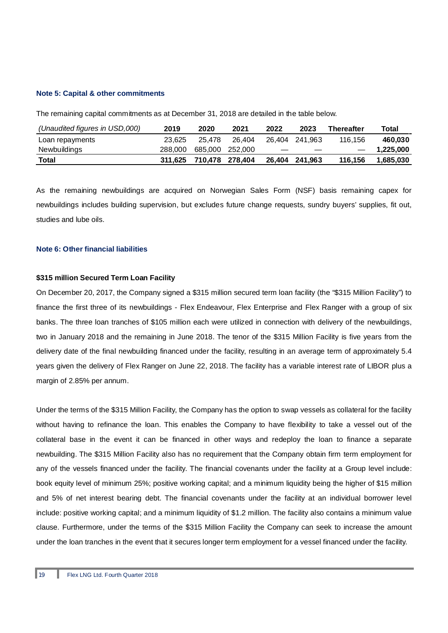#### **Note 5: Capital & other commitments**

The remaining capital commitments as at December 31, 2018 are detailed in the table below.

| (Unaudited figures in USD,000) | 2019    | 2020            | 2021    | 2022              | 2023           | <b>Thereafter</b> | Total     |
|--------------------------------|---------|-----------------|---------|-------------------|----------------|-------------------|-----------|
| Loan repayments                | 23.625  | 25.478          | 26.404  |                   | 26.404 241.963 | 116.156           | 460.030   |
| Newbuildings                   | 288.000 | 685.000         | 252.000 | $\hspace{0.05cm}$ |                |                   | 1,225,000 |
| Total                          | 311.625 | 710.478 278.404 |         |                   | 26.404 241.963 | 116.156           | 1,685,030 |

As the remaining newbuildings are acquired on Norwegian Sales Form (NSF) basis remaining capex for newbuildings includes building supervision, but excludes future change requests, sundry buyers' supplies, fit out, studies and lube oils.

#### **Note 6: Other financial liabilities**

#### **\$315 million Secured Term Loan Facility**

On December 20, 2017, the Company signed a \$315 million secured term loan facility (the "\$315 Million Facility") to finance the first three of its newbuildings - Flex Endeavour, Flex Enterprise and Flex Ranger with a group of six banks. The three loan tranches of \$105 million each were utilized in connection with delivery of the newbuildings, two in January 2018 and the remaining in June 2018. The tenor of the \$315 Million Facility is five years from the delivery date of the final newbuilding financed under the facility, resulting in an average term of approximately 5.4 years given the delivery of Flex Ranger on June 22, 2018. The facility has a variable interest rate of LIBOR plus a margin of 2.85% per annum.

Under the terms of the \$315 Million Facility, the Company has the option to swap vessels as collateral for the facility without having to refinance the loan. This enables the Company to have flexibility to take a vessel out of the collateral base in the event it can be financed in other ways and redeploy the loan to finance a separate newbuilding. The \$315 Million Facility also has no requirement that the Company obtain firm term employment for any of the vessels financed under the facility. The financial covenants under the facility at a Group level include: book equity level of minimum 25%; positive working capital; and a minimum liquidity being the higher of \$15 million and 5% of net interest bearing debt. The financial covenants under the facility at an individual borrower level include: positive working capital; and a minimum liquidity of \$1.2 million. The facility also contains a minimum value clause. Furthermore, under the terms of the \$315 Million Facility the Company can seek to increase the amount under the loan tranches in the event that it secures longer term employment for a vessel financed under the facility.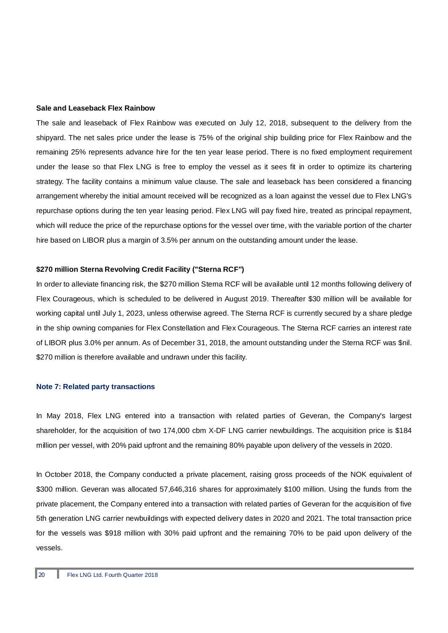#### **Sale and Leaseback Flex Rainbow**

The sale and leaseback of Flex Rainbow was executed on July 12, 2018, subsequent to the delivery from the shipyard. The net sales price under the lease is 75% of the original ship building price for Flex Rainbow and the remaining 25% represents advance hire for the ten year lease period. There is no fixed employment requirement under the lease so that Flex LNG is free to employ the vessel as it sees fit in order to optimize its chartering strategy. The facility contains a minimum value clause. The sale and leaseback has been considered a financing arrangement whereby the initial amount received will be recognized as a loan against the vessel due to Flex LNG's repurchase options during the ten year leasing period. Flex LNG will pay fixed hire, treated as principal repayment, which will reduce the price of the repurchase options for the vessel over time, with the variable portion of the charter hire based on LIBOR plus a margin of 3.5% per annum on the outstanding amount under the lease.

#### **\$270 million Sterna Revolving Credit Facility ("Sterna RCF")**

In order to alleviate financing risk, the \$270 million Sterna RCF will be available until 12 months following delivery of Flex Courageous, which is scheduled to be delivered in August 2019. Thereafter \$30 million will be available for working capital until July 1, 2023, unless otherwise agreed. The Sterna RCF is currently secured by a share pledge in the ship owning companies for Flex Constellation and Flex Courageous. The Sterna RCF carries an interest rate of LIBOR plus 3.0% per annum. As of December 31, 2018, the amount outstanding under the Sterna RCF was \$nil. \$270 million is therefore available and undrawn under this facility.

#### **Note 7: Related party transactions**

In May 2018, Flex LNG entered into a transaction with related parties of Geveran, the Company's largest shareholder, for the acquisition of two 174,000 cbm X-DF LNG carrier newbuildings. The acquisition price is \$184 million per vessel, with 20% paid upfront and the remaining 80% payable upon delivery of the vessels in 2020.

In October 2018, the Company conducted a private placement, raising gross proceeds of the NOK equivalent of \$300 million. Geveran was allocated 57,646,316 shares for approximately \$100 million. Using the funds from the private placement, the Company entered into a transaction with related parties of Geveran for the acquisition of five 5th generation LNG carrier newbuildings with expected delivery dates in 2020 and 2021. The total transaction price for the vessels was \$918 million with 30% paid upfront and the remaining 70% to be paid upon delivery of the vessels.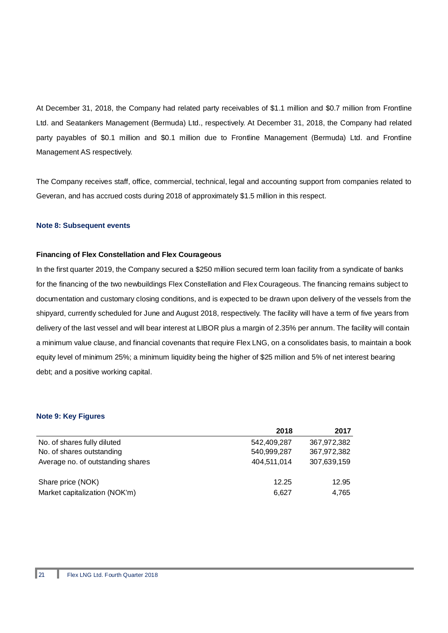At December 31, 2018, the Company had related party receivables of \$1.1 million and \$0.7 million from Frontline Ltd. and Seatankers Management (Bermuda) Ltd., respectively. At December 31, 2018, the Company had related party payables of \$0.1 million and \$0.1 million due to Frontline Management (Bermuda) Ltd. and Frontline Management AS respectively.

The Company receives staff, office, commercial, technical, legal and accounting support from companies related to Geveran, and has accrued costs during 2018 of approximately \$1.5 million in this respect.

#### **Note 8: Subsequent events**

#### **Financing of Flex Constellation and Flex Courageous**

In the first quarter 2019, the Company secured a \$250 million secured term loan facility from a syndicate of banks for the financing of the two newbuildings Flex Constellation and Flex Courageous. The financing remains subject to documentation and customary closing conditions, and is expected to be drawn upon delivery of the vessels from the shipyard, currently scheduled for June and August 2018, respectively. The facility will have a term of five years from delivery of the last vessel and will bear interest at LIBOR plus a margin of 2.35% per annum. The facility will contain a minimum value clause, and financial covenants that require Flex LNG, on a consolidates basis, to maintain a book equity level of minimum 25%; a minimum liquidity being the higher of \$25 million and 5% of net interest bearing debt; and a positive working capital.

#### **Note 9: Key Figures**

|                                   | 2018        | 2017        |
|-----------------------------------|-------------|-------------|
| No. of shares fully diluted       | 542,409,287 | 367,972,382 |
| No. of shares outstanding         | 540,999,287 | 367,972,382 |
| Average no. of outstanding shares | 404,511,014 | 307,639,159 |
| Share price (NOK)                 | 12.25       | 12.95       |
| Market capitalization (NOK'm)     | 6,627       | 4,765       |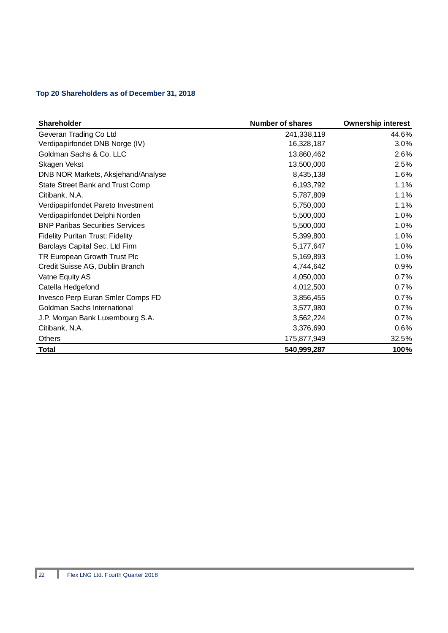# **Top 20 Shareholders as of December 31, 2018**

| <b>Shareholder</b>                      | <b>Number of shares</b> | <b>Ownership interest</b> |
|-----------------------------------------|-------------------------|---------------------------|
| Geveran Trading Co Ltd                  | 241,338,119             | 44.6%                     |
| Verdipapirfondet DNB Norge (IV)         | 16,328,187              | 3.0%                      |
| Goldman Sachs & Co. LLC                 | 13,860,462              | 2.6%                      |
| Skagen Vekst                            | 13,500,000              | 2.5%                      |
| DNB NOR Markets, Aksjehand/Analyse      | 8,435,138               | 1.6%                      |
| State Street Bank and Trust Comp        | 6,193,792               | 1.1%                      |
| Citibank, N.A.                          | 5,787,809               | 1.1%                      |
| Verdipapirfondet Pareto Investment      | 5,750,000               | 1.1%                      |
| Verdipapirfondet Delphi Norden          | 5,500,000               | 1.0%                      |
| <b>BNP Paribas Securities Services</b>  | 5,500,000               | 1.0%                      |
| <b>Fidelity Puritan Trust: Fidelity</b> | 5,399,800               | 1.0%                      |
| Barclays Capital Sec. Ltd Firm          | 5,177,647               | 1.0%                      |
| TR European Growth Trust Plc            | 5,169,893               | 1.0%                      |
| Credit Suisse AG, Dublin Branch         | 4,744,642               | 0.9%                      |
| Vatne Equity AS                         | 4,050,000               | 0.7%                      |
| Catella Hedgefond                       | 4,012,500               | 0.7%                      |
| Invesco Perp Euran Smler Comps FD       | 3,856,455               | 0.7%                      |
| Goldman Sachs International             | 3,577,980               | 0.7%                      |
| J.P. Morgan Bank Luxembourg S.A.        | 3,562,224               | 0.7%                      |
| Citibank, N.A.                          | 3,376,690               | 0.6%                      |
| Others                                  | 175,877,949             | 32.5%                     |
| <b>Total</b>                            | 540,999,287             | 100%                      |